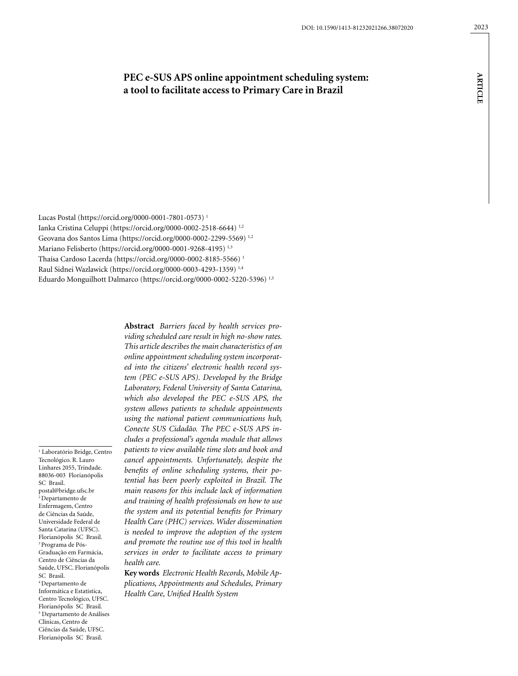**article**

**ARTICLE** 

# **PEC e-SUS APS online appointment scheduling system: a tool to facilitate access to Primary Care in Brazil**

Lucas Postal (https://orcid.org/0000-0001-7801-0573) 1 Ianka Cristina Celuppi (https://orcid.org/0000-0002-2518-6644) 1,2 Geovana dos Santos Lima (https://orcid.org/0000-0002-2299-5569) 1,2 Mariano Felisberto (https://orcid.org/0000-0001-9268-4195)<sup>1,3</sup> Thaísa Cardoso Lacerda (https://orcid.org/0000-0002-8185-5566) 1 Raul Sidnei Wazlawick (https://orcid.org/0000-0003-4293-1359) 1,4 Eduardo Monguilhott Dalmarco (https://orcid.org/0000-0002-5220-5396) 1,5

1 Laboratório Bridge, Centro Tecnológico. R. Lauro Linhares 2055, Trindade. 88036-003 Florianópolis SC Brasil. postal@bridge.ufsc.br  $2$  Departamento de Enfermagem, Centro de Ciências da Saúde, Universidade Federal de Santa Catarina (UFSC). Florianópolis SC Brasil. 3 Programa de Pós-Graduação em Farmácia, Centro de Ciências da Saúde, UFSC. Florianópolis SC Brasil. 4 Departamento de Informática e Estatística, Centro Tecnológico, UFSC. Florianópolis SC Brasil. 5 Departamento de Análises Clínicas, Centro de Ciências da Saúde, UFSC. Florianópolis SC Brasil.

**Abstract** *Barriers faced by health services providing scheduled care result in high no-show rates. This article describes the main characteristics of an online appointment scheduling system incorporated into the citizens' electronic health record system (PEC e-SUS APS). Developed by the Bridge Laboratory, Federal University of Santa Catarina, which also developed the PEC e-SUS APS, the system allows patients to schedule appointments using the national patient communications hub, Conecte SUS Cidadão. The PEC e-SUS APS includes a professional's agenda module that allows patients to view available time slots and book and cancel appointments. Unfortunately, despite the benefits of online scheduling systems, their potential has been poorly exploited in Brazil. The main reasons for this include lack of information and training of health professionals on how to use the system and its potential benefits for Primary Health Care (PHC) services. Wider dissemination is needed to improve the adoption of the system and promote the routine use of this tool in health services in order to facilitate access to primary health care.*

**Key words** *Electronic Health Records, Mobile Applications, Appointments and Schedules, Primary Health Care, Unified Health System*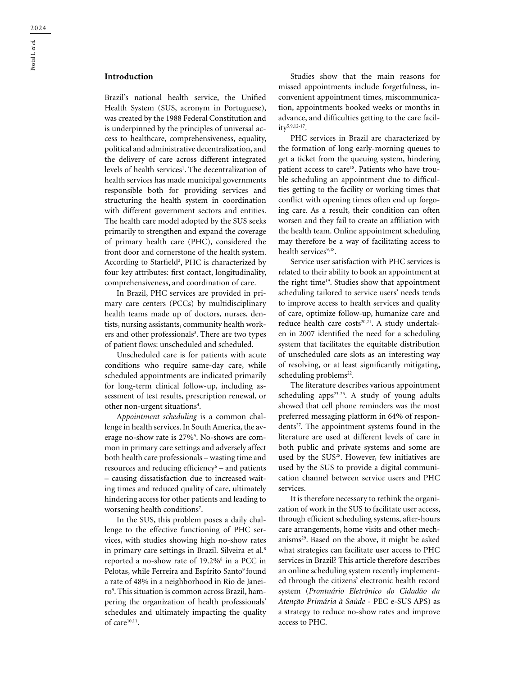Brazil's national health service, the Unified Health System (SUS, acronym in Portuguese), was created by the 1988 Federal Constitution and is underpinned by the principles of universal access to healthcare, comprehensiveness, equality, political and administrative decentralization, and the delivery of care across different integrated levels of health services<sup>1</sup>. The decentralization of health services has made municipal governments responsible both for providing services and structuring the health system in coordination with different government sectors and entities. The health care model adopted by the SUS seeks primarily to strengthen and expand the coverage of primary health care (PHC), considered the front door and cornerstone of the health system. According to Starfield<sup>2</sup>, PHC is characterized by four key attributes: first contact, longitudinality, comprehensiveness, and coordination of care.

In Brazil, PHC services are provided in primary care centers (PCCs) by multidisciplinary health teams made up of doctors, nurses, dentists, nursing assistants, community health workers and other professionals<sup>3</sup>. There are two types of patient flows: unscheduled and scheduled.

Unscheduled care is for patients with acute conditions who require same-day care, while scheduled appointments are indicated primarily for long-term clinical follow-up, including assessment of test results, prescription renewal, or other non-urgent situations<sup>4</sup>.

A*ppointment scheduling* is a common challenge in health services. In South America, the average no-show rate is 27%5 . No-shows are common in primary care settings and adversely affect both health care professionals – wasting time and resources and reducing efficiency<sup>6</sup> – and patients – causing dissatisfaction due to increased waiting times and reduced quality of care, ultimately hindering access for other patients and leading to worsening health conditions<sup>7</sup>.

In the SUS, this problem poses a daily challenge to the effective functioning of PHC services, with studies showing high no-show rates in primary care settings in Brazil. Silveira et al.<sup>8</sup> reported a no-show rate of 19.2%<sup>8</sup> in a PCC in Pelotas, while Ferreira and Espírito Santo<sup>9</sup> found a rate of 48% in a neighborhood in Rio de Janeiro9 . This situation is common across Brazil, hampering the organization of health professionals' schedules and ultimately impacting the quality of care<sup>10,11</sup>.

Studies show that the main reasons for missed appointments include forgetfulness, inconvenient appointment times, miscommunication, appointments booked weeks or months in advance, and difficulties getting to the care facility5,9,12-17.

PHC services in Brazil are characterized by the formation of long early-morning queues to get a ticket from the queuing system, hindering patient access to care<sup>18</sup>. Patients who have trouble scheduling an appointment due to difficulties getting to the facility or working times that conflict with opening times often end up forgoing care. As a result, their condition can often worsen and they fail to create an affiliation with the health team. Online appointment scheduling may therefore be a way of facilitating access to health services9,18.

Service user satisfaction with PHC services is related to their ability to book an appointment at the right time<sup>19</sup>. Studies show that appointment scheduling tailored to service users' needs tends to improve access to health services and quality of care, optimize follow-up, humanize care and reduce health care costs<sup>20,21</sup>. A study undertaken in 2007 identified the need for a scheduling system that facilitates the equitable distribution of unscheduled care slots as an interesting way of resolving, or at least significantly mitigating, scheduling problems<sup>22</sup>.

The literature describes various appointment scheduling apps<sup>23-26</sup>. A study of young adults showed that cell phone reminders was the most preferred messaging platform in 64% of respondents<sup>27</sup>. The appointment systems found in the literature are used at different levels of care in both public and private systems and some are used by the SUS<sup>28</sup>. However, few initiatives are used by the SUS to provide a digital communication channel between service users and PHC services.

It is therefore necessary to rethink the organization of work in the SUS to facilitate user access, through efficient scheduling systems, after-hours care arrangements, home visits and other mechanisms29. Based on the above, it might be asked what strategies can facilitate user access to PHC services in Brazil? This article therefore describes an online scheduling system recently implemented through the citizens' electronic health record system (*Prontuário Eletrônico do Cidadão da Atenção Primária à Saúde* - PEC e-SUS APS) as a strategy to reduce no-show rates and improve access to PHC.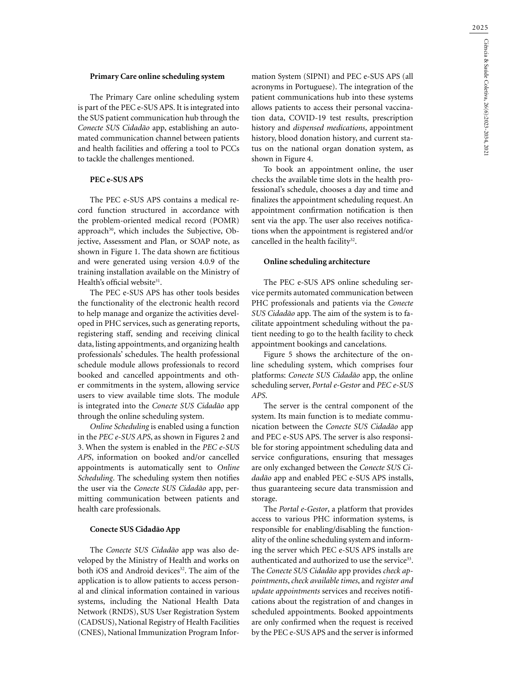#### **Primary Care online scheduling system**

The Primary Care online scheduling system is part of the PEC e-SUS APS. It is integrated into the SUS patient communication hub through the *Conecte SUS Cidadão* app, establishing an automated communication channel between patients and health facilities and offering a tool to PCCs to tackle the challenges mentioned.

### **PEC e-SUS APS**

The PEC e-SUS APS contains a medical record function structured in accordance with the problem-oriented medical record (POMR) approach<sup>30</sup>, which includes the Subjective, Objective, Assessment and Plan, or SOAP note, as shown in Figure 1. The data shown are fictitious and were generated using version 4.0.9 of the training installation available on the Ministry of Health's official website<sup>31</sup>.

The PEC e-SUS APS has other tools besides the functionality of the electronic health record to help manage and organize the activities developed in PHC services, such as generating reports, registering staff, sending and receiving clinical data, listing appointments, and organizing health professionals' schedules. The health professional schedule module allows professionals to record booked and cancelled appointments and other commitments in the system, allowing service users to view available time slots. The module is integrated into the *Conecte SUS Cidadão* app through the online scheduling system.

*Online Scheduling* is enabled using a function in the *PEC e-SUS APS*, as shown in Figures 2 and 3. When the system is enabled in the *PEC e-SUS APS*, information on booked and/or cancelled appointments is automatically sent to *Online Scheduling*. The scheduling system then notifies the user via the *Conecte SUS Cidadão* app, permitting communication between patients and health care professionals.

#### **Conecte SUS Cidadão App**

The *Conecte SUS Cidadão* app was also developed by the Ministry of Health and works on both iOS and Android devices<sup>32</sup>. The aim of the application is to allow patients to access personal and clinical information contained in various systems, including the National Health Data Network (RNDS), SUS User Registration System (CADSUS), National Registry of Health Facilities (CNES), National Immunization Program Information System (SIPNI) and PEC e-SUS APS (all acronyms in Portuguese). The integration of the patient communications hub into these systems allows patients to access their personal vaccination data, COVID-19 test results, prescription history and *dispensed medications*, appointment history, blood donation history, and current status on the national organ donation system, as shown in Figure 4.

To book an appointment online, the user checks the available time slots in the health professional's schedule, chooses a day and time and finalizes the appointment scheduling request. An appointment confirmation notification is then sent via the app. The user also receives notifications when the appointment is registered and/or cancelled in the health facility<sup>32</sup>.

#### **Online scheduling architecture**

The PEC e-SUS APS online scheduling service permits automated communication between PHC professionals and patients via the *Conecte SUS Cidadão* app. The aim of the system is to facilitate appointment scheduling without the patient needing to go to the health facility to check appointment bookings and cancelations.

Figure 5 shows the architecture of the online scheduling system, which comprises four platforms: *Conecte SUS Cidadão* app, the online scheduling server, *Portal e-Gestor* and *PEC e-SUS APS*.

The server is the central component of the system. Its main function is to mediate communication between the *Conecte SUS Cidadão* app and PEC e-SUS APS. The server is also responsible for storing appointment scheduling data and service configurations, ensuring that messages are only exchanged between the *Conecte SUS Cidadão* app and enabled PEC e-SUS APS installs, thus guaranteeing secure data transmission and storage.

The *Portal e-Gestor*, a platform that provides access to various PHC information systems, is responsible for enabling/disabling the functionality of the online scheduling system and informing the server which PEC e-SUS APS installs are authenticated and authorized to use the service<sup>33</sup>. The *Conecte SUS Cidadão* app provides *check appointments*, *check available times*, and *register and update appointments* services and receives notifications about the registration of and changes in scheduled appointments. Booked appointments are only confirmed when the request is received by the PEC e-SUS APS and the server is informed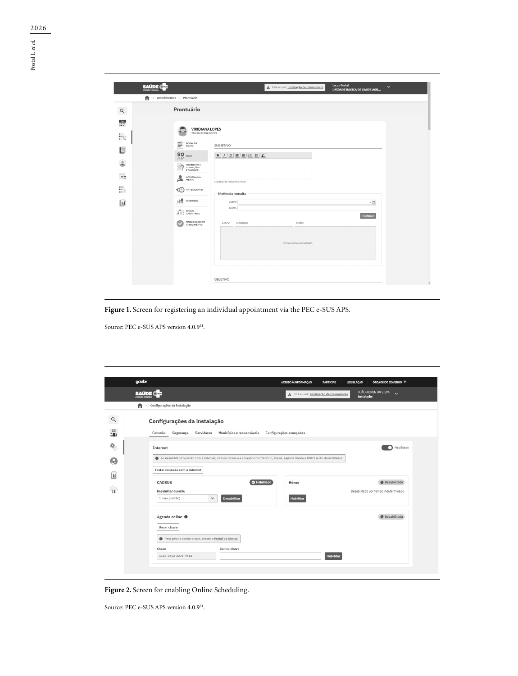| <b>SAUDE @</b>                                                                                 | <b>Lucas Postal</b><br>$\checkmark$<br>A Esta é uma Instalação de treinamento<br><b>UNIDADE BASICA DE SAUDE AGR</b> |
|------------------------------------------------------------------------------------------------|---------------------------------------------------------------------------------------------------------------------|
| Ħ.<br>> Atendimentos > Prontuário                                                              |                                                                                                                     |
| Prontuário<br>$\alpha$                                                                         |                                                                                                                     |
| $\frac{3m}{1+1}$<br><b>VIRIDIANA LOPES</b><br>33 anos e 1ó dias, feminino<br>$\left( -\right)$ |                                                                                                                     |
| Ey<br>È<br>FOLHA DE<br>ROSTO                                                                   | SUBJETIVO                                                                                                           |
| <b>I</b> lies<br>${}_{\mathbb{A}\mathbb{P}}^{\mathbf{SO}}$ soap                                | $[\mathbf{B}][I][\mathbf{I}][\mathbf{E}][\mathbf{E}][\mathbf{E}][\mathbf{E}][\mathbf{I}]$                           |
| $\circ$<br>PROBLEMAS /<br>CONDIÇÕES<br>E ALERGIAS<br>$\rightarrow$                             |                                                                                                                     |
| $-$<br>۰<br>ACOMPANHA-<br>ò.<br>MENTO                                                          | Caracteres restantes: 4000                                                                                          |
| ANTECEDENTES<br>∢⊙                                                                             | Motivo da consulta                                                                                                  |
| ٠ŕ۴<br>HISTÓRICO<br>$\mathbf{H}$                                                               | CIAP2<br>$\times$ $\check{\,}$<br>Notas                                                                             |
| $-$<br>DADOS<br>CADASTRAIS<br>$\mathbf{A}$                                                     | Confirmar                                                                                                           |
| FINALIZAÇÃO DO<br>ATENDIMENTO                                                                  | CIAP2<br>Descrição<br>Notas                                                                                         |
|                                                                                                | Nenhum item encontrado.                                                                                             |
|                                                                                                |                                                                                                                     |
|                                                                                                |                                                                                                                     |
|                                                                                                | <b>OBJETIVO</b>                                                                                                     |

**Figure 1.** Screen for registering an individual appointment via the PEC e-SUS APS.

Source: PEC e-SUS APS version 4.0.9<sup>31</sup>.

| govbr                                                          |                                                                                                                                  | ACESSO À INFORMAÇÃO<br><b>PARTICIPE</b> | <b>LEGISLACÃO</b><br>ÓRGÃOS DO GOVERNO Y                         |
|----------------------------------------------------------------|----------------------------------------------------------------------------------------------------------------------------------|-----------------------------------------|------------------------------------------------------------------|
| <b>SAUDE @</b>                                                 |                                                                                                                                  | A Esta é uma Instalação de treinamento  | JOÃO ADMIN DA SILVA<br>$\ddot{\phantom{0}}$<br><b>Instalador</b> |
| Configurações da instalação<br>A<br>$\rightarrow$              |                                                                                                                                  |                                         |                                                                  |
| Configurações da instalação                                    |                                                                                                                                  |                                         |                                                                  |
|                                                                |                                                                                                                                  |                                         |                                                                  |
| Conexão<br>Segurança                                           | Municípios e responsáveis<br>Servidores                                                                                          | Configurações avançadas                 |                                                                  |
| Internet                                                       |                                                                                                                                  |                                         | Habilitado<br>n                                                  |
|                                                                | Ao desabilitar a conexão com a Internet, o Envio Online e a conexão com CADSUS, Hórus, Agenda Online e RNDS serão desabilitados. |                                         |                                                                  |
|                                                                |                                                                                                                                  |                                         |                                                                  |
| Testar conexão com a internet                                  |                                                                                                                                  |                                         |                                                                  |
| CADSUS                                                         | <b>O</b> Habilitado                                                                                                              | Hórus                                   | Desabilitado                                                     |
| Desabilitar durante                                            |                                                                                                                                  |                                         | Desabilitado por tempo indeterminado.                            |
| 1 hora (padrão)                                                | <b>Desabilitar</b><br>$\check{~}$                                                                                                | Habilitar                               |                                                                  |
|                                                                |                                                                                                                                  |                                         | <b>O</b> Desabilitada                                            |
| Agenda online <sup>O</sup>                                     |                                                                                                                                  |                                         |                                                                  |
| Gerar chave                                                    |                                                                                                                                  |                                         |                                                                  |
| <b>O</b> Para gerar a contra-chave, acesse o Portal do Gestor, |                                                                                                                                  |                                         |                                                                  |
| Chave                                                          | Contra-chave                                                                                                                     |                                         |                                                                  |
| 1144-8632-8235-9514                                            |                                                                                                                                  |                                         | <b>Habilitar</b>                                                 |

**Figure 2.** Screen for enabling Online Scheduling.

Source: PEC e-SUS APS version 4.0.9<sup>31</sup>.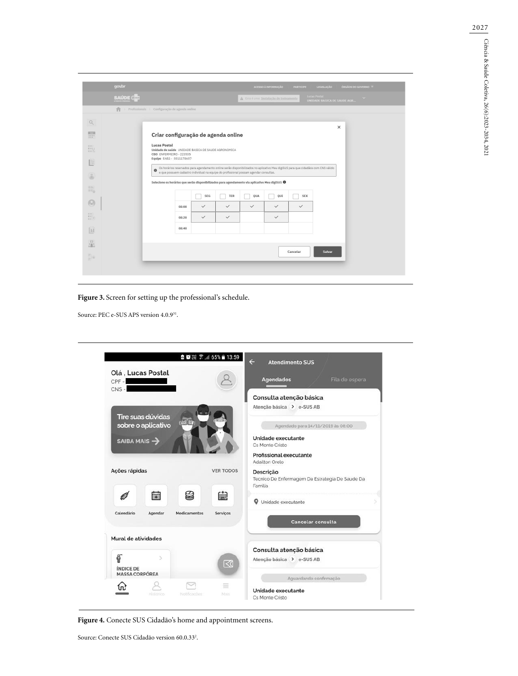| qovdor           |                                                                                                            |              |              |              | ACESSO À INFORMAÇÃO                    | <b>LEGISLACÃO</b><br><b>PARTICIPE</b>                                                                                            | ÓRGÃOS DO GOVERNO V |
|------------------|------------------------------------------------------------------------------------------------------------|--------------|--------------|--------------|----------------------------------------|----------------------------------------------------------------------------------------------------------------------------------|---------------------|
| <b>SAUDE @MI</b> |                                                                                                            |              |              |              | A Esta é uma Instalação de treinamento | Lucas Postal<br>UNIDADE BASICA DE SAUDE AGR                                                                                      | $\checkmark$        |
| 合                | Profissionais > Configuração de agenda online                                                              |              |              |              |                                        |                                                                                                                                  |                     |
|                  |                                                                                                            |              |              |              |                                        |                                                                                                                                  |                     |
|                  | Criar configuração de agenda online                                                                        |              |              |              |                                        | $\times$                                                                                                                         |                     |
|                  |                                                                                                            |              |              |              |                                        |                                                                                                                                  |                     |
|                  | <b>Lucas Postal</b><br>Unidade de saúde UNIDADE BASICA DE SAUDE AGRONOMICA                                 |              |              |              |                                        |                                                                                                                                  |                     |
|                  | CBO ENFERMEIRO - 223505<br>Equipe EAB2 - 5511178657                                                        |              |              |              |                                        |                                                                                                                                  |                     |
|                  | $\bullet$<br>e que possuem cadastro individual na equipe do profissional possam agendar consultas.         |              |              |              |                                        | Os horários reservados para agendamento online serão disponibilizados no aplicativo Meu digiSUS para que cidadãos com CNS válido |                     |
|                  |                                                                                                            |              |              |              |                                        |                                                                                                                                  |                     |
|                  | Selecione os horários que serão disponibilizados para agendamento via aplicativo Meu digiSUS $\bm{\Theta}$ |              |              |              |                                        |                                                                                                                                  |                     |
|                  |                                                                                                            | SEG          | TER          | QUA          | QUI                                    | <b>SEX</b>                                                                                                                       |                     |
|                  | 08:00                                                                                                      | $\checkmark$ | $\checkmark$ | $\checkmark$ | $\checkmark$                           | $\checkmark$                                                                                                                     |                     |
|                  | 08:20                                                                                                      | $\checkmark$ | $\checkmark$ |              | $\checkmark$                           |                                                                                                                                  |                     |
|                  | 08:40                                                                                                      |              |              |              |                                        |                                                                                                                                  |                     |
|                  |                                                                                                            |              |              |              |                                        |                                                                                                                                  |                     |
|                  |                                                                                                            |              |              |              |                                        |                                                                                                                                  |                     |
|                  |                                                                                                            |              |              |              |                                        | Salvar<br>Cancelar                                                                                                               |                     |
|                  |                                                                                                            |              |              |              |                                        |                                                                                                                                  |                     |

**Figure 3.** Screen for setting up the professional's schedule.

Source: PEC e-SUS APS version 4.0.9<sup>31</sup>.

| Olá, Lucas Postal                         |                                         |              |                         |                                                            |
|-------------------------------------------|-----------------------------------------|--------------|-------------------------|------------------------------------------------------------|
| $CPF -$                                   |                                         |              |                         | <b>Agendados</b><br>Fila de espera                         |
| $CNS -$                                   |                                         |              |                         | Consulta atenção básica                                    |
|                                           |                                         |              |                         | Atenção básica > e-SUS AB                                  |
|                                           | Tire suas dúvidas<br>sobre o aplicativo |              |                         | Agendado para 14/11/2019 às 08:00                          |
|                                           |                                         |              |                         | Unidade executante                                         |
| SAIBA MAIS $\rightarrow$                  |                                         |              |                         | Cs Monte Cristo                                            |
|                                           |                                         |              |                         | Profissional executante<br>Adailton Orelo                  |
| Ações rápidas                             |                                         |              | <b>VER TODOS</b>        | Descrição                                                  |
|                                           |                                         |              |                         | Tecnico De Enfermagem Da Estrategia De Saude Da<br>Familia |
| E                                         | 带                                       | €            | 繭                       |                                                            |
|                                           |                                         |              |                         | <b>Q</b> Unidade executante                                |
| Calendário                                | Agendar                                 | Medicamentos | Serviços                | <b>Cancelar consulta</b>                                   |
|                                           |                                         |              |                         |                                                            |
| Mural de atividades                       |                                         |              |                         |                                                            |
|                                           |                                         |              |                         | Consulta atenção básica                                    |
| <b>ÍNDICE DE</b><br><b>MASSA CORPÓREA</b> | ×                                       |              | $\overline{\mathbb{C}}$ | Atenção básica > e-SUS AB                                  |
|                                           |                                         |              |                         | Aguardando confirmação                                     |
|                                           |                                         |              |                         |                                                            |
|                                           | Historico                               | Notificações | ≡<br><b>MAIS</b>        | Unidade executante                                         |

**Figure 4.** Conecte SUS Cidadão's home and appointment screens.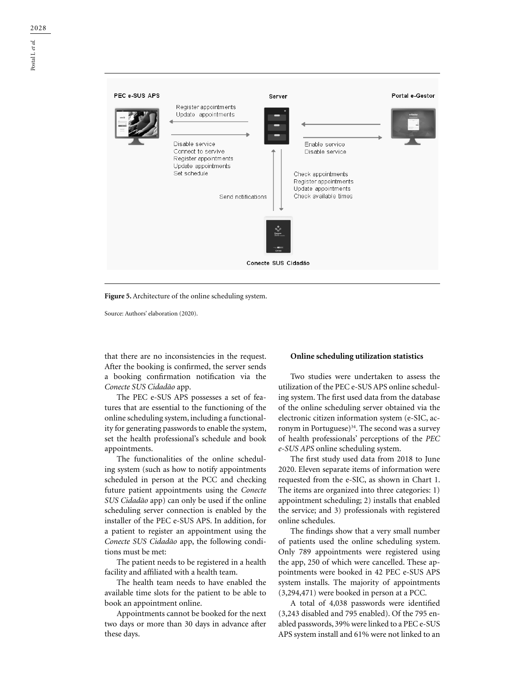

**Figure 5.** Architecture of the online scheduling system.

Source: Authors' elaboration (2020).

that there are no inconsistencies in the request. After the booking is confirmed, the server sends a booking confirmation notification via the *Conecte SUS Cidadão* app.

The PEC e-SUS APS possesses a set of features that are essential to the functioning of the online scheduling system, including a functionality for generating passwords to enable the system, set the health professional's schedule and book appointments.

The functionalities of the online scheduling system (such as how to notify appointments scheduled in person at the PCC and checking future patient appointments using the *Conecte SUS Cidadão* app) can only be used if the online scheduling server connection is enabled by the installer of the PEC e-SUS APS. In addition, for a patient to register an appointment using the *Conecte SUS Cidadão* app, the following conditions must be met:

The patient needs to be registered in a health facility and affiliated with a health team.

The health team needs to have enabled the available time slots for the patient to be able to book an appointment online.

Appointments cannot be booked for the next two days or more than 30 days in advance after these days.

#### **Online scheduling utilization statistics**

Two studies were undertaken to assess the utilization of the PEC e-SUS APS online scheduling system. The first used data from the database of the online scheduling server obtained via the electronic citizen information system (e-SIC, acronym in Portuguese) $34$ . The second was a survey of health professionals' perceptions of the *PEC e-SUS APS* online scheduling system.

The first study used data from 2018 to June 2020. Eleven separate items of information were requested from the e-SIC, as shown in Chart 1. The items are organized into three categories: 1) appointment scheduling; 2) installs that enabled the service; and 3) professionals with registered online schedules.

The findings show that a very small number of patients used the online scheduling system. Only 789 appointments were registered using the app, 250 of which were cancelled. These appointments were booked in 42 PEC e-SUS APS system installs. The majority of appointments (3,294,471) were booked in person at a PCC.

A total of 4,038 passwords were identified (3,243 disabled and 795 enabled). Of the 795 enabled passwords, 39% were linked to a PEC e-SUS APS system install and 61% were not linked to an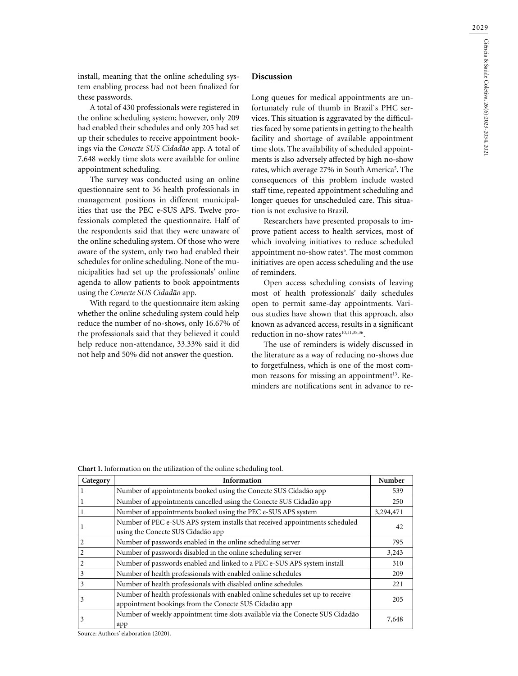install, meaning that the online scheduling system enabling process had not been finalized for these passwords.

A total of 430 professionals were registered in the online scheduling system; however, only 209 had enabled their schedules and only 205 had set up their schedules to receive appointment bookings via the *Conecte SUS Cidadão* app. A total of 7,648 weekly time slots were available for online appointment scheduling.

The survey was conducted using an online questionnaire sent to 36 health professionals in management positions in different municipalities that use the PEC e-SUS APS. Twelve professionals completed the questionnaire. Half of the respondents said that they were unaware of the online scheduling system. Of those who were aware of the system, only two had enabled their schedules for online scheduling. None of the municipalities had set up the professionals' online agenda to allow patients to book appointments using the *Conecte SUS Cidadão* app.

With regard to the questionnaire item asking whether the online scheduling system could help reduce the number of no-shows, only 16.67% of the professionals said that they believed it could help reduce non-attendance, 33.33% said it did not help and 50% did not answer the question.

### **Discussion**

Long queues for medical appointments are unfortunately rule of thumb in Brazil`s PHC services. This situation is aggravated by the difficulties faced by some patients in getting to the health facility and shortage of available appointment time slots. The availability of scheduled appointments is also adversely affected by high no-show rates, which average 27% in South America<sup>5</sup>. The consequences of this problem include wasted staff time, repeated appointment scheduling and longer queues for unscheduled care. This situation is not exclusive to Brazil.

Researchers have presented proposals to improve patient access to health services, most of which involving initiatives to reduce scheduled appointment no-show rates<sup>5</sup>. The most common initiatives are open access scheduling and the use of reminders.

Open access scheduling consists of leaving most of health professionals' daily schedules open to permit same-day appointments. Various studies have shown that this approach, also known as advanced access, results in a significant reduction in no-show rates<sup>10,11,35,36</sup>.

The use of reminders is widely discussed in the literature as a way of reducing no-shows due to forgetfulness, which is one of the most common reasons for missing an appointment<sup>13</sup>. Reminders are notifications sent in advance to re-

**Chart 1.** Information on the utilization of the online scheduling tool.

| Category | Information                                                                                                                             | Number    |
|----------|-----------------------------------------------------------------------------------------------------------------------------------------|-----------|
|          | Number of appointments booked using the Conecte SUS Cidadão app                                                                         | 539       |
|          | Number of appointments cancelled using the Conecte SUS Cidadão app                                                                      | 250       |
|          | Number of appointments booked using the PEC e-SUS APS system                                                                            | 3,294,471 |
|          | Number of PEC e-SUS APS system installs that received appointments scheduled<br>using the Conecte SUS Cidadão app                       | 42        |
| 2        | Number of passwords enabled in the online scheduling server                                                                             | 795       |
|          | Number of passwords disabled in the online scheduling server                                                                            | 3,243     |
|          | Number of passwords enabled and linked to a PEC e-SUS APS system install                                                                | 310       |
| 3        | Number of health professionals with enabled online schedules                                                                            | 209       |
| 3        | Number of health professionals with disabled online schedules                                                                           | 221       |
| 3        | Number of health professionals with enabled online schedules set up to receive<br>appointment bookings from the Conecte SUS Cidadão app | 205       |
| 3        | Number of weekly appointment time slots available via the Conecte SUS Cidadão<br>app                                                    | 7,648     |

Source: Authors' elaboration (2020).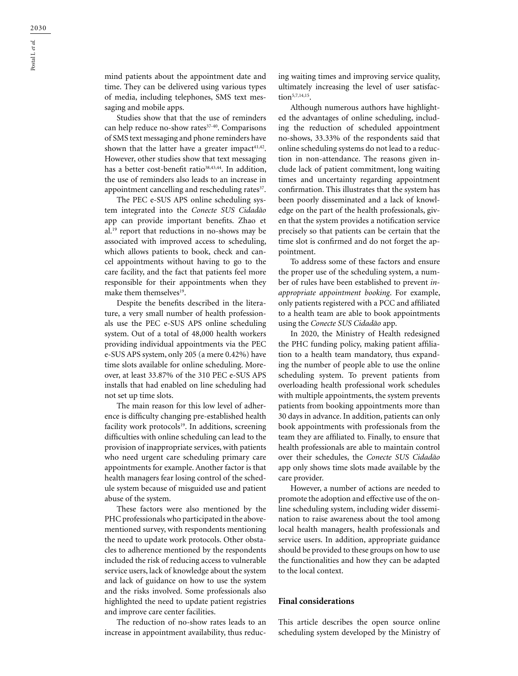mind patients about the appointment date and time. They can be delivered using various types of media, including telephones, SMS text messaging and mobile apps.

Studies show that that the use of reminders can help reduce no-show rates<sup>37-40</sup>. Comparisons of SMS text messaging and phone reminders have shown that the latter have a greater impact $41,42$ . However, other studies show that text messaging has a better cost-benefit ratio<sup>38,43,44</sup>. In addition, the use of reminders also leads to an increase in appointment cancelling and rescheduling rates<sup>37</sup>.

The PEC e-SUS APS online scheduling system integrated into the *Conecte SUS Cidadão* app can provide important benefits. Zhao et al.19 report that reductions in no-shows may be associated with improved access to scheduling, which allows patients to book, check and cancel appointments without having to go to the care facility, and the fact that patients feel more responsible for their appointments when they make them themselves<sup>19</sup>.

Despite the benefits described in the literature, a very small number of health professionals use the PEC e-SUS APS online scheduling system. Out of a total of 48,000 health workers providing individual appointments via the PEC e-SUS APS system, only 205 (a mere 0.42%) have time slots available for online scheduling. Moreover, at least 33.87% of the 310 PEC e-SUS APS installs that had enabled on line scheduling had not set up time slots.

The main reason for this low level of adherence is difficulty changing pre-established health facility work protocols<sup>19</sup>. In additions, screening difficulties with online scheduling can lead to the provision of inappropriate services, with patients who need urgent care scheduling primary care appointments for example. Another factor is that health managers fear losing control of the schedule system because of misguided use and patient abuse of the system.

These factors were also mentioned by the PHC professionals who participated in the abovementioned survey, with respondents mentioning the need to update work protocols. Other obstacles to adherence mentioned by the respondents included the risk of reducing access to vulnerable service users, lack of knowledge about the system and lack of guidance on how to use the system and the risks involved. Some professionals also highlighted the need to update patient registries and improve care center facilities.

The reduction of no-show rates leads to an increase in appointment availability, thus reducing waiting times and improving service quality, ultimately increasing the level of user satisfaction<sup>5,7,14,15</sup>.

Although numerous authors have highlighted the advantages of online scheduling, including the reduction of scheduled appointment no-shows, 33.33% of the respondents said that online scheduling systems do not lead to a reduction in non-attendance. The reasons given include lack of patient commitment, long waiting times and uncertainty regarding appointment confirmation. This illustrates that the system has been poorly disseminated and a lack of knowledge on the part of the health professionals, given that the system provides a notification service precisely so that patients can be certain that the time slot is confirmed and do not forget the appointment.

To address some of these factors and ensure the proper use of the scheduling system, a number of rules have been established to prevent *inappropriate appointment booking*. For example, only patients registered with a PCC and affiliated to a health team are able to book appointments using the *Conecte SUS Cidadão* app.

In 2020, the Ministry of Health redesigned the PHC funding policy, making patient affiliation to a health team mandatory, thus expanding the number of people able to use the online scheduling system. To prevent patients from overloading health professional work schedules with multiple appointments, the system prevents patients from booking appointments more than 30 days in advance. In addition, patients can only book appointments with professionals from the team they are affiliated to. Finally, to ensure that health professionals are able to maintain control over their schedules, the *Conecte SUS Cidadão* app only shows time slots made available by the care provider.

However, a number of actions are needed to promote the adoption and effective use of the online scheduling system, including wider dissemination to raise awareness about the tool among local health managers, health professionals and service users. In addition, appropriate guidance should be provided to these groups on how to use the functionalities and how they can be adapted to the local context.

### **Final considerations**

This article describes the open source online scheduling system developed by the Ministry of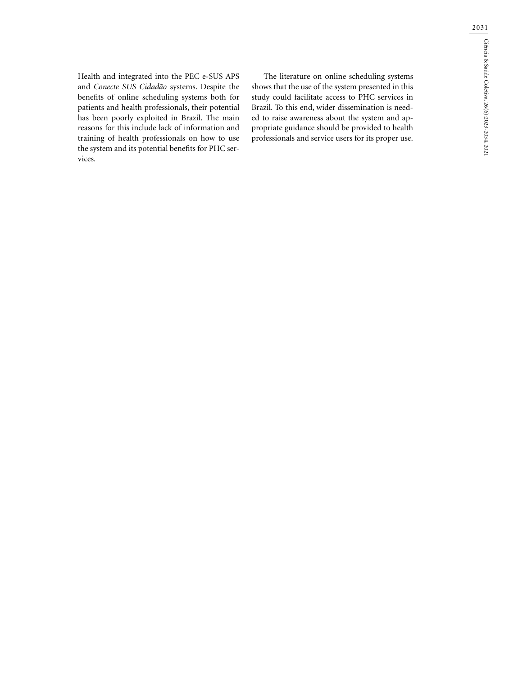Health and integrated into the PEC e-SUS APS and *Conecte SUS Cidadão* systems. Despite the benefits of online scheduling systems both for patients and health professionals, their potential has been poorly exploited in Brazil. The main reasons for this include lack of information and training of health professionals on how to use the system and its potential benefits for PHC services.

The literature on online scheduling systems shows that the use of the system presented in this study could facilitate access to PHC services in Brazil. To this end, wider dissemination is needed to raise awareness about the system and appropriate guidance should be provided to health professionals and service users for its proper use.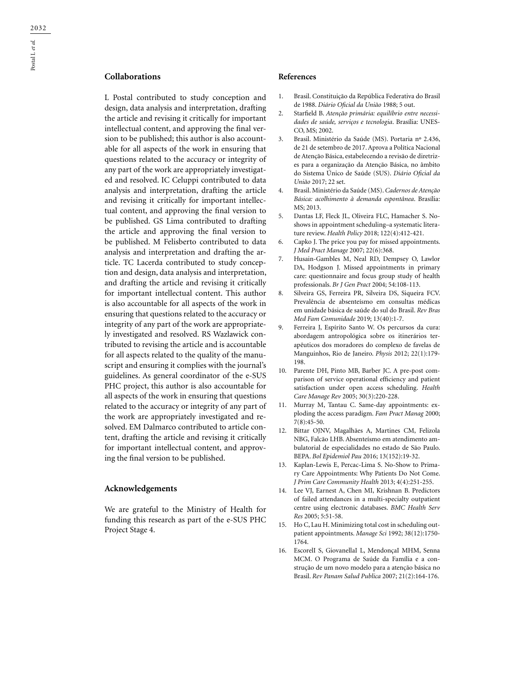## **Collaborations**

L Postal contributed to study conception and design, data analysis and interpretation, drafting the article and revising it critically for important intellectual content, and approving the final version to be published; this author is also accountable for all aspects of the work in ensuring that questions related to the accuracy or integrity of any part of the work are appropriately investigated and resolved. IC Celuppi contributed to data analysis and interpretation, drafting the article and revising it critically for important intellectual content, and approving the final version to be published. GS Lima contributed to drafting the article and approving the final version to be published. M Felisberto contributed to data analysis and interpretation and drafting the article. TC Lacerda contributed to study conception and design, data analysis and interpretation, and drafting the article and revising it critically for important intellectual content. This author is also accountable for all aspects of the work in ensuring that questions related to the accuracy or integrity of any part of the work are appropriately investigated and resolved. RS Wazlawick contributed to revising the article and is accountable for all aspects related to the quality of the manuscript and ensuring it complies with the journal's guidelines. As general coordinator of the e-SUS PHC project, this author is also accountable for all aspects of the work in ensuring that questions related to the accuracy or integrity of any part of the work are appropriately investigated and resolved. EM Dalmarco contributed to article content, drafting the article and revising it critically for important intellectual content, and approving the final version to be published.

#### **Acknowledgements**

We are grateful to the Ministry of Health for funding this research as part of the e-SUS PHC Project Stage 4.

### **References**

- 1. Brasil. Constituição da República Federativa do Brasil de 1988. *Diário Oficial da União* 1988; 5 out.
- 2. Starfield B. *Atenção primária: equilíbrio entre necessidades de saúde, serviços e tecnologia*. Brasília: UNES-CO, MS; 2002.
- 3. Brasil. Ministério da Saúde (MS). Portaria nº 2.436, de 21 de setembro de 2017. Aprova a Política Nacional de Atenção Básica, estabelecendo a revisão de diretrizes para a organização da Atenção Básica, no âmbito do Sistema Único de Saúde (SUS). *Diário Oficial da União* 2017; 22 set.
- 4. Brasil. Ministério da Saúde (MS). *Cadernos de Atenção Básica: acolhimento à demanda espontânea*. Brasília: MS; 2013.
- 5. Dantas LF, Fleck JL, Oliveira FLC, Hamacher S. Noshows in appointment scheduling–a systematic literature review. *Health Policy* 2018; 122(4):412-421.
- 6. Capko J. The price you pay for missed appointments. *J Med Pract Manage* 2007; 22(6):368.
- 7. Husain-Gambles M, Neal RD, Dempsey O, Lawlor DA, Hodgson J. Missed appointments in primary care: questionnaire and focus group study of health professionals. *Br J Gen Pract* 2004; 54:108-113.
- 8. Silveira GS, Ferreira PR, Silveira DS, Siqueira FCV. Prevalência de absenteísmo em consultas médicas em unidade básica de saúde do sul do Brasil. *Rev Bras Med Fam Comunidade* 2019; 13(40):1-7.
- 9. Ferreira J, Espírito Santo W. Os percursos da cura: abordagem antropológica sobre os itinerários terapêuticos dos moradores do complexo de favelas de Manguinhos, Rio de Janeiro. *Physis* 2012; 22(1):179- 198.
- 10. Parente DH, Pinto MB, Barber JC. A pre-post comparison of service operational efficiency and patient satisfaction under open access scheduling. *Health Care Manage Rev* 2005; 30(3):220-228.
- 11. Murray M, Tantau C. Same-day appointments: exploding the access paradigm. *Fam Pract Manag* 2000; 7(8):45-50.
- 12. Bittar OJNV, Magalhães A, Martines CM, Felizola NBG, Falcão LHB. Absenteísmo em atendimento ambulatorial de especialidades no estado de São Paulo. BEPA. *Bol Epidemiol Pau* 2016; 13(152):19-32.
- 13. Kaplan-Lewis E, Percac-Lima S. No-Show to Primary Care Appointments: Why Patients Do Not Come. *J Prim Care Community Health* 2013; 4(4):251-255.
- 14. Lee VJ, Earnest A, Chen MI, Krishnan B. Predictors of failed attendances in a multi-specialty outpatient centre using electronic databases. *BMC Health Serv Res* 2005; 5:51-58.
- 15. Ho C, Lau H. Minimizing total cost in scheduling outpatient appointments. *Manage Sci* 1992; 38(12):1750- 1764.
- 16. EscorelI S, GiovanellaI L, MendonçaI MHM, Senna MCM. O Programa de Saúde da Família e a construção de um novo modelo para a atenção básica no Brasil. *Rev Panam Salud Publica* 2007; 21(2):164-176.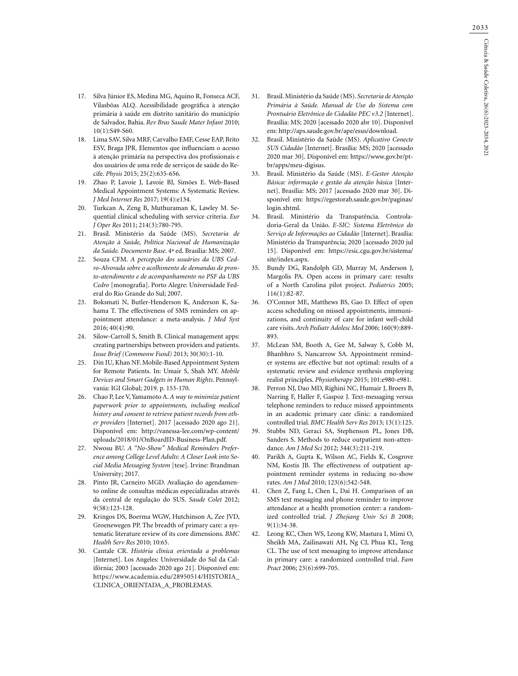- 17. Silva Júnior ES, Medina MG, Aquino R, Fonseca ACF, Vilasbôas ALQ. Acessibilidade geográfica à atenção primária à saúde em distrito sanitário do município de Salvador, Bahia. *Rev Bras Saude Mater Infant* 2010; 10(1):S49-S60.
- 18. Lima SAV, Silva MRF, Carvalho EMF, Cesse EAP, Brito ESV, Braga JPR. Elementos que influenciam o acesso à atenção primária na perspectiva dos profissionais e dos usuários de uma rede de serviços de saúde do Recife. *Physis* 2015; 25(2):635-656.
- 19. Zhao P, Lavoie J, Lavoie BJ, Simões E. Web-Based Medical Appointment Systems: A Systematic Review. *J Med Internet Res* 2017; 19(4):e134.
- 20. Turkcan A, Zeng B, Muthuraman K, Lawley M. Sequential clinical scheduling with service criteria. *Eur J Oper Res* 2011; 214(3):780-795.
- 21. Brasil. Ministério da Saúde (MS). *Secretaria de Atenção à Saúde, Política Nacional de Humanização da Saúde. Documento Base*. 4ª ed. Brasília: MS; 2007.
- 22. Souza CFM. *A percepção dos usuários da UBS Cedro-Alvorada sobre o acolhimento de demandas de pronto-atendimento e de acompanhamento no PSF da UBS Cedro* [monografia]. Porto Alegre: Universidade Federal do Rio Grande do Sul; 2007.
- 23. Boksmati N, Butler-Henderson K, Anderson K, Sahama T. The effectiveness of SMS reminders on appointment attendance: a meta-analysis. *J Med Syst* 2016; 40(4):90.
- 24. Silow-Carroll S, Smith B. Clinical management apps: creating partnerships between providers and patients. *Issue Brief (Commonw Fund)* 2013; 30(30):1-10.
- 25. Din IU, Khan NF. Mobile-Based Appointment System for Remote Patients. In: Umair S, Shah MY. *Mobile Devices and Smart Gadgets in Human Rights*. Pennsylvania: IGI Global; 2019. p. 153-170.
- 26. Chao P, Lee V, Yamamoto A. *A way to minimize patient paperwork prior to appointments, including medical history and consent to retrieve patient records from other providers* [Internet]. 2017 [acessado 2020 ago 21]. Disponível em: http://vanessa-lee.com/wp-content/ uploads/2018/01/OnBoardID-Business-Plan.pdf.
- 27. Nwosu BU. *A "No-Show" Medical Reminders Preference among College Level Adults: A Closer Look into Social Media Messaging System* [tese]. Irvine: Brandman University; 2017.
- 28. Pinto JR, Carneiro MGD. Avaliação do agendamento online de consultas médicas especializadas através da central de regulação do SUS. *Saude Colet* 2012; 9(58):123-128.
- 29. Kringos DS, Boerma WGW, Hutchinson A, Zee JVD, Groenewegen PP. The breadth of primary care: a systematic literature review of its core dimensions. *BMC Health Serv Res* 2010; 10:65.
- 30. Cantale CR. *História clínica orientada a problemas* [Internet]. Los Angeles: Universidade do Sul da Califórnia; 2003 [acessado 2020 ago 21]. Disponível em: https://www.academia.edu/28950514/HISTORIA\_ CLINICA\_ORIENTADA\_A\_PROBLEMAS.
- 31. Brasil. Ministério da Saúde (MS). *Secretaria de Atenção Primária à Saúde. Manual de Uso do Sistema com Prontuário Eletrônico do Cidadão PEC v3.2* [Internet]. Brasília: MS; 2020 [acessado 2020 abr 10]. Disponível em: http://aps.saude.gov.br/ape/esus/download.
- 32. Brasil. Ministério da Saúde (MS). *Aplicativo Conecte SUS Cidadão* [Internet]. Brasília: MS; 2020 [acessado 2020 mar 30]. Disponível em: https://www.gov.br/ptbr/apps/meu-digisus.
- 33. Brasil. Ministério da Saúde (MS). *E-Gestor Atenção Básica: informação e gestão da atenção básica* [Internet]. Brasília: MS; 2017 [acessado 2020 mar 30]. Disponível em: https://egestorab.saude.gov.br/paginas/ login.xhtml.
- 34. Brasil. Ministério da Transparência. Controladoria-Geral da União. *E-SIC: Sistema Eletrônico do Serviço de Informações ao Cidadão* [Internet]. Brasília: Ministério da Transparência; 2020 [acessado 2020 jul 15]. Disponível em: https://esic.cgu.gov.br/sistema/ site/index.aspx.
- 35. Bundy DG, Randolph GD, Murray M, Anderson J, Margolis PA. Open access in primary care: results of a North Carolina pilot project. *Pediatrics* 2005; 116(1):82-87.
- 36. O'Connor ME, Matthews BS, Gao D. Effect of open access scheduling on missed appointments, immunizations, and continuity of care for infant well-child care visits. *Arch Pediatr Adolesc Med* 2006; 160(9):889- 893.
- 37. McLean SM, Booth A, Gee M, Salway S, Cobb M, Bhanbhro S, Nancarrow SA. Appointment reminder systems are effective but not optimal: results of a systematic review and evidence synthesis employing realist principles. *Physiotherapy* 2015; 101:e980-e981.
- 38. Perron NJ, Dao MD, Righini NC, Humair J, Broers B, Narring F, Haller F, Gaspoz J. Text-messaging versus telephone reminders to reduce missed appointments in an academic primary care clinic: a randomized controlled trial. *BMC Health Serv Res* 2013; 13(1):125.
- 39. Stubbs ND, Geraci SA, Stephenson PL, Jones DB, Sanders S. Methods to reduce outpatient non-attendance. *Am J Med Sci* 2012; 344(3):211-219.
- 40. Parikh A, Gupta K, Wilson AC, Fields K, Cosgrove NM, Kostis JB. The effectiveness of outpatient appointment reminder systems in reducing no-show rates. *Am J Med* 2010; 123(6):542-548.
- 41. Chen Z, Fang L, Chen L, Dai H. Comparison of an SMS text messaging and phone reminder to improve attendance at a health promotion center: a randomized controlled trial. *J Zhejiang Univ Sci B* 2008; 9(1):34-38.
- 42. Leong KC, Chen WS, Leong KW, Mastura I, Mimi O, Sheikh MA, Zailinawati AH, Ng CJ, Phua KL, Teng CL. The use of text messaging to improve attendance in primary care: a randomized controlled trial. *Fam Pract* 2006; 23(6):699-705.